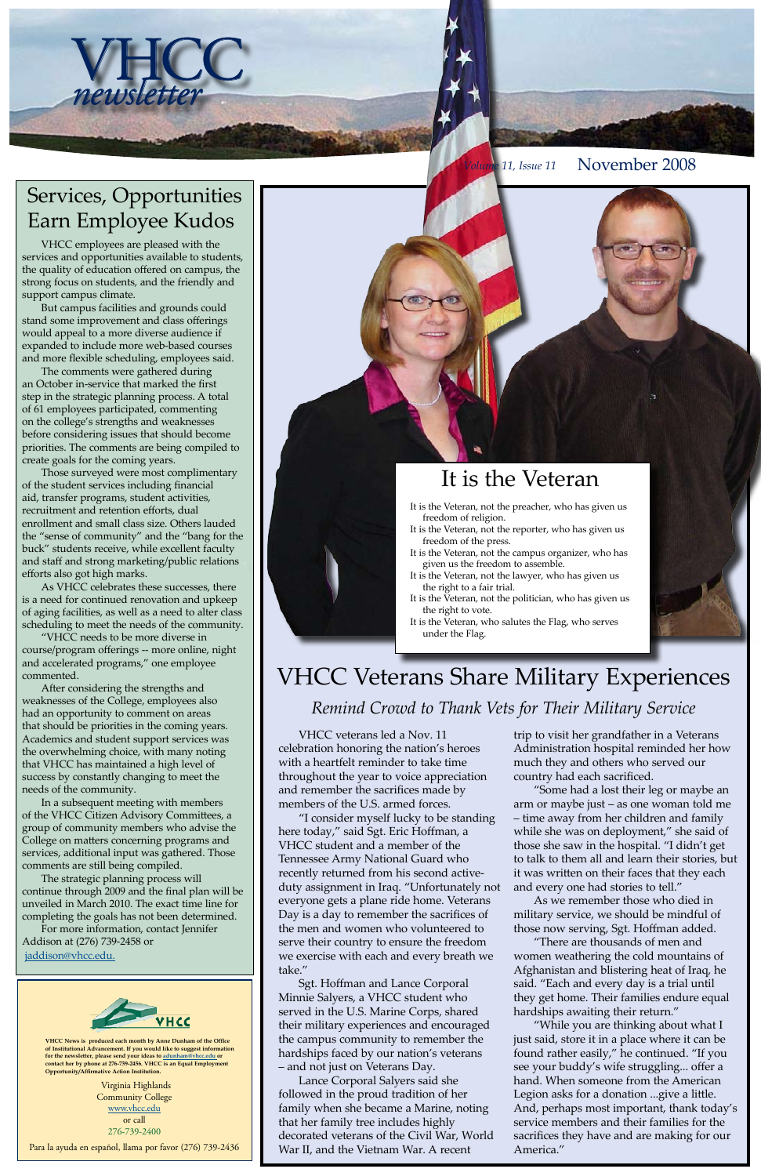Virginia Highlands Community College [www.vhcc.edu](http://www.vhcc.edu) or call 276-739-2400

Para la ayuda en español, llama por favor (276) 739-2436

**VHCC News is produced each month by Anne Dunham of the Office of Institutional Advancement. If you would like to suggest information for the newsletter, please send your ideas to [adunham@vhcc.edu or](mailto:adunham@vhcc.edu) contact her by phone at 276-739-2456. VHCC is an Equal Employment Opportunity/Affirmative Action Institution.**





*Volume 11, Issue 11* November 2008

VHCC employees are pleased with the services and opportunities available to students, the quality of education offered on campus, the strong focus on students, and the friendly and support campus climate.

But campus facilities and grounds could stand some improvement and class offerings would appeal to a more diverse audience if expanded to include more web-based courses and more flexible scheduling, employees said.

The comments were gathered during an October in-service that marked the first step in the strategic planning process. A total of 61 employees participated, commenting on the college's strengths and weaknesses before considering issues that should become priorities. The comments are being compiled to create goals for the coming years.

Those surveyed were most complimentary of the student services including financial aid, transfer programs, student activities, recruitment and retention efforts, dual enrollment and small class size. Others lauded the "sense of community" and the "bang for the buck" students receive, while excellent faculty and staff and strong marketing/public relations efforts also got high marks.

As VHCC celebrates these successes, there is a need for continued renovation and upkeep of aging facilities, as well as a need to alter class scheduling to meet the needs of the community.

"VHCC needs to be more diverse in course/program offerings -- more online, night and accelerated programs," one employee commented.

After considering the strengths and weaknesses of the College, employees also had an opportunity to comment on areas that should be priorities in the coming years. Academics and student support services was the overwhelming choice, with many noting that VHCC has maintained a high level of success by constantly changing to meet the needs of the community.

In a subsequent meeting with members of the VHCC Citizen Advisory Committees, a group of community members who advise the College on matters concerning programs and services, additional input was gathered. Those comments are still being compiled.

The strategic planning process will continue through 2009 and the final plan will be unveiled in March 2010. The exact time line for completing the goals has not been determined.

For more information, contact Jennifer Addison at (276) 739-2458 or

[jaddison@vhcc.edu.](mailto:jaddison@vhcc.edu)



### Services, Opportunities Earn Employee Kudos

## It is the Veteran

- It is the Veteran, not the preacher, who has given us freedom of religion.
- It is the Veteran, not the reporter, who has given us freedom of the press.
- It is the Veteran, not the campus organizer, who has given us the freedom to assemble.
- It is the Veteran, not the lawyer, who has given us the right to a fair trial.
- It is the Veteran, not the politician, who has given us the right to vote.
- It is the Veteran, who salutes the Flag, who serves under the Flag.

# VHCC Veterans Share Military Experiences *Remind Crowd to Thank Vets for Their Military Service*

VHCC veterans led a Nov. 11 celebration honoring the nation's heroes with a heartfelt reminder to take time throughout the year to voice appreciation and remember the sacrifices made by members of the U.S. armed forces.

"I consider myself lucky to be standing here today," said Sgt. Eric Hoffman, a VHCC student and a member of the Tennessee Army National Guard who recently returned from his second activeduty assignment in Iraq. "Unfortunately not everyone gets a plane ride home. Veterans Day is a day to remember the sacrifices of the men and women who volunteered to serve their country to ensure the freedom we exercise with each and every breath we take." Sgt. Hoffman and Lance Corporal Minnie Salyers, a VHCC student who served in the U.S. Marine Corps, shared their military experiences and encouraged the campus community to remember the hardships faced by our nation's veterans – and not just on Veterans Day. Lance Corporal Salyers said she followed in the proud tradition of her family when she became a Marine, noting that her family tree includes highly decorated veterans of the Civil War, World War II, and the Vietnam War. A recent

trip to visit her grandfather in a Veterans Administration hospital reminded her how much they and others who served our country had each sacrificed.

"Some had a lost their leg or maybe an arm or maybe just – as one woman told me – time away from her children and family while she was on deployment," she said of those she saw in the hospital. "I didn't get to talk to them all and learn their stories, but

it was written on their faces that they each and every one had stories to tell."

As we remember those who died in military service, we should be mindful of those now serving, Sgt. Hoffman added.

"There are thousands of men and women weathering the cold mountains of Afghanistan and blistering heat of Iraq, he said. "Each and every day is a trial until they get home. Their families endure equal hardships awaiting their return."

"While you are thinking about what I just said, store it in a place where it can be found rather easily," he continued. "If you see your buddy's wife struggling... offer a hand. When someone from the American Legion asks for a donation ...give a little. And, perhaps most important, thank today's service members and their families for the sacrifices they have and are making for our America."